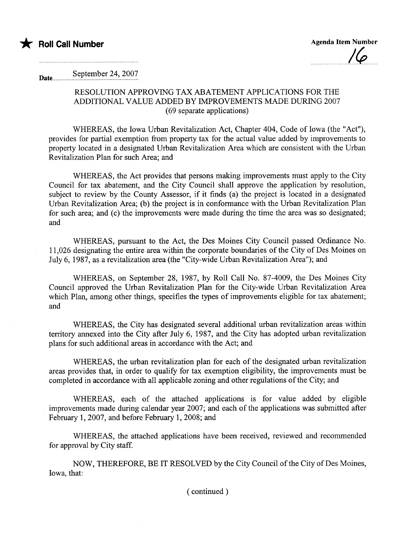

 $\overline{\phantom{a}}$ 

Date........ September 24, 2007

## RESOLUTION APPROVING TAX ABATEMENT APPLICATIONS FOR THE ADDITIONAL VALUE ADDED BY IMPROVEMENTS MADE DURING 2007 (69 separate applications)

WHEREAS, the Iowa Urban Revitalization Act, Chapter 404, Code of Iowa (the "Act"), provides for parial exemption from property tax for the actual value added by improvements to property located in a designated Urban Revitalization Area which are consistent with the Urban Revitalization Plan for such Area; and

WHEREAS, the Act provides that persons making improvements must apply to the City Council for tax abatement, and the City Council shall approve the application by resolution, subject to review by the County Assessor, if it finds (a) the project is located in a designated Urban Revitalization Area; (b) the project is in conformance with the Urban Revitalization Plan for such area; and (c) the improvements were made during the time the area was so designated; and

WHEREAS, pursuant to the Act, the Des Moines City Council passed Ordinance No. 11,026 designating the entire area within the corporate boundares of the City of Des Moines on July 6, 1987, as a revitalization area (the "City-wide Urban Revitalization Area"); and

WHEREAS, on September 28, 1987, by Roll Call No. 87-4009, the Des Moines City Council approved the Urban Revitalization Plan for the City-wide Urban Revitalization Area which Plan, among other things, specifies the types of improvements eligible for tax abatement; and

WHEREAS, the City has designated several additional urban revitalization areas within terrtory annexed into the City after July 6, 1987, and the City has adopted urban revitalization plans for such additional areas in accordance with the Act; and

WHEREAS, the urban revitalization plan for each of the designated urban revitalization areas provides that, in order to qualify for tax exemption eligibility, the improvements must be completed in accordance with all applicable zoning and other regulations of the City; and

WHEREAS, each of the attached applications is for value added by eligible improvements made during calendar year 2007; and each of the applications was submitted after February 1, 2007, and before February 1, 2008; and

WHEREAS, the attached applications have been received, reviewed and recommended for approval by City staff.

NOW, THEREFORE, BE IT RESOLVED by the City Council of the City of Des Moines, Iowa, that:

( continued)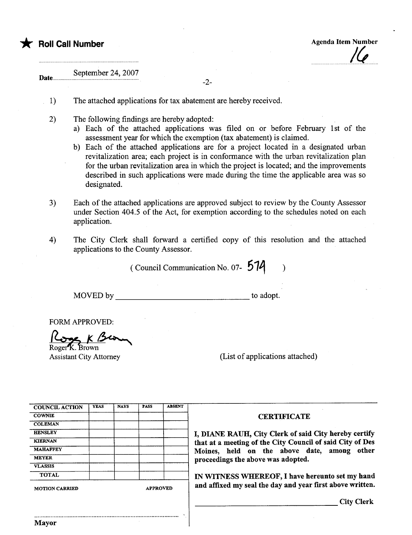

 $\overline{\phantom{a}}$ 

Date. September 24, 2007

-2-

- 1) The attached applications for tax abatement are hereby received.
- 2) The following findings are hereby adopted:
	- a) Each of the attached applications was filed on or before February 1st of the assessment year for which the exemption (tax abatement) is claimed.
	- b) Each of the attached applications are for a project located in a designated urban revitalization area; each project is in conformance with the urban revitalization plan for the urban revitalization area in which the project is located; and the improvements described in such applications were made during the time the applicable area was so designated.
- 3) Each of the attached applications are approved subject to review by the County Assessor under Section 404.5 of the Act, for exemption according to the schedules noted on each application.
- 4) The City Clerk shall forward a certified copy of this resolution and the attached applications to the County Assessor.

(Council Communication No. 07-  $574$  )

'.

MOVED by to adopt.

FORM APPROVED:<br> $\frac{\log_{10} K \cdot \log_{10}}{\log_{10} K \cdot \log_{10}}$ <br>Assistant City Attorney

(List of applications attached)

| <b>COUNCIL ACTION</b> | <b>YEAS</b> | <b>NAYS</b> | <b>PASS</b> | <b>ABSENT</b>   |
|-----------------------|-------------|-------------|-------------|-----------------|
| <b>COWNIE</b>         |             |             |             |                 |
| <b>COLEMAN</b>        |             |             |             |                 |
| <b>HENSLEY</b>        |             |             |             |                 |
| <b>KIERNAN</b>        |             |             |             |                 |
| <b>MAHAFFEY</b>       |             |             |             |                 |
| <b>MEYER</b>          |             |             |             |                 |
| <b>VLASSIS</b>        |             |             |             |                 |
| <b>TOTAL</b>          |             |             |             |                 |
| <b>MOTION CARRIED</b> |             |             |             | <b>APPROVED</b> |

..........................................................................................

## **CERTIFICATE**

I, DIANE RAUH, City Clerk of said City hereby certify that at a meeting of the City Council of said City of Des Moines, held on the above date, among other proceedings the above was adopted.

IN WITNESS WHEREOF, I have hereunto set my hand and affixed my seal the day and year first above written.

City Clerk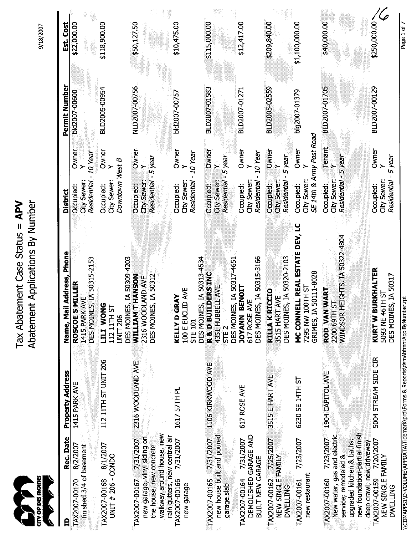| Ellolla           |  |
|-------------------|--|
|                   |  |
| <b>SIDE OPPER</b> |  |
|                   |  |

Tax Abatement Case Status = APV Abatement Applications By Number Tax Abatement Case Status = APV Abatement Applications By Number

9/18/2007

| Est. Cost                     | \$22,000.00                                                                      | \$118,900.00                                                                   | \$50,127.50                                                                         | \$10,475.00                                                                            | \$115,000.00<br>\$12,417.00                                                                                                                                                      | \$209,840.00<br>\$1,100,000.00                                                                                                                                | \$40,000.00                                                                                    | \$250,000.00                                                    |
|-------------------------------|----------------------------------------------------------------------------------|--------------------------------------------------------------------------------|-------------------------------------------------------------------------------------|----------------------------------------------------------------------------------------|----------------------------------------------------------------------------------------------------------------------------------------------------------------------------------|---------------------------------------------------------------------------------------------------------------------------------------------------------------|------------------------------------------------------------------------------------------------|-----------------------------------------------------------------|
| Permit Number                 | bid2007-00600                                                                    | BLD2005-00954                                                                  | NLD2007-00756                                                                       | bld2007-00757                                                                          | BLD2007-01583<br>BLD2007-01271                                                                                                                                                   | BLD2005-02559<br>big2007-01379                                                                                                                                | BLD2007-01705                                                                                  | BLD2007-00129                                                   |
|                               | Owner<br>10 Year                                                                 | Owner                                                                          | Owner<br>ý.                                                                         | Owner<br>- 10 Year                                                                     | Owner<br>Owner<br><b>TO Year</b><br>-5 year                                                                                                                                      | SE 14th & Army Post Road<br>Owner<br>Owner<br>- 5 year<br>⋟                                                                                                   | Tenant<br>$\overline{\phantom{0}}$                                                             | Owner                                                           |
| <b>District</b>               | Residential<br>City Sewer:<br><b>Occupied:</b>                                   | Downtown West B<br>City Sewer:<br>Occupied:                                    | Residential - 5 year<br>City Sewer:<br>Occupied:                                    | <b>Residential</b><br>City Sewer:<br>Occupied:                                         | City Sewer:<br>Residential<br>City Sewer:<br>Residential<br>Occupied:<br>Occupied:                                                                                               | City Sewer:<br>Residential<br>Occupied:<br>City Sewer<br>Occupied:                                                                                            | Residential - 5 year<br>City Sewer:<br>Occupied:                                               | Residential - 5 year<br>City Sewer<br>Occupied:                 |
| il Address, Phone<br>Name, Ma | DES MOINES, IA 50315-2153<br><b>MILLER</b><br>AVE<br><b>ROSCOES</b><br>1415 PARK | DES MOINES, IA 50309-4203<br><b>DNOM ITT</b><br>112 11TH ST<br><b>UNIT 206</b> | DES MOINES, IA 50312<br>WILLIAM THANSON<br>2316 WOODLAND AVE                        | DES MOINES, IA 50313-4534<br>100 E EUCLID AVE<br><b>KELLY D GRAY</b><br><b>STE 101</b> | DES MOINES, IA 50315-3166<br>DES MOINES, IA 50317-4651<br><b>R &amp; D BUILDERS INC</b><br>ELL AVE<br><b>BENOIT</b><br>AVE<br>4351 HUBB<br>617 ROSE<br><b>NNAVOL</b><br>SIE<br>S | MC CONNELL REAL ESTATE DEV, LC<br>DES MOINES, IA 50320-2103<br>GRIMES, IA 50111-8028<br>7295 NW 100TH ST<br><b>RILLA K RICCIO</b><br><b>TAVE</b><br>3515 HART | <b>HEIGHTS, IA 50322-4804</b><br>WART<br>ದ<br>ROD VAN<br>2200 69TH<br><b>WINDSOR</b>           | KURT W BURKHALTER<br>DES MOINES, IA 50317<br>5093 NE 46TH ST    |
| Property Address              | 1415 PARK AVE                                                                    | 112 11TH ST UNIT 206                                                           | 2316 WOODLAND AVE                                                                   | 1617 57TH PL                                                                           | 1106 KIRKWOOD AVE<br>617 ROSE AVE                                                                                                                                                | 3515 E HART AVE<br>6230 SE 14TH ST                                                                                                                            | 7/23/2007 1904 CAPITOL AVE                                                                     | 5004 STREAM SIDE CIR                                            |
| Rec. Date                     | 8/2/2007                                                                         | 8/1/2007                                                                       | walkway around house, new<br>new garage, viny siding on                             | 7/31/2007                                                                              | new house built and poured<br>DEMOLISHED GARAGE AND<br>7/31/2007                                                                                                                 | 7/23/2007                                                                                                                                                     | new foundation-partial finish<br>New water, gas and electric                                   |                                                                 |
| ₿                             | finished 3/4 of basement<br>TAX2007-00170                                        | UNIT # 206 - CONDO<br>TAX2007-00168                                            | rain gutters, new central air<br>TAX2007-00167 7/31/2007<br>the house, new concrete | TAX2007-00166<br>new garage                                                            | TAX2007-00165 7/31/2007<br>BUILT NEW GARAGE<br>TAX2007-00164<br>garage slab                                                                                                      | TAX2007-00162 7/25/2007<br>NEW SINGLE FAMILY<br>new restaurant<br>TAX2007-00161<br><b>DWELLING</b>                                                            | upgraded kitchen & baths;<br>deep crawl; new driveway<br>service; remodeled &<br>TAX2007-00160 | TAX2007-00159 7/20/2007<br>NEW SINGLE FAMILY<br><b>DWELLING</b> |

\ \CDMAPPS1 \D-VOLUME\APPDA T A \ Tidemark\prd\Forms & Report\dsmAbtmntApplByNumber. rpt Page 1 of 7\\CDMAPPS1\D-VOLUME\APPDATA\Tidemark\prd\Forms & Reports\dsmAbtmntApplByNumber.rpt

Page 1 of 7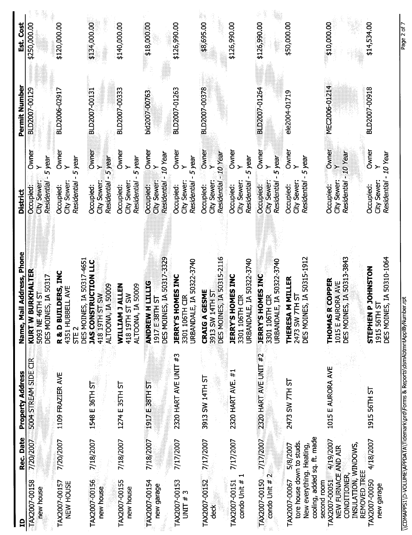| <u>ឝ</u>                                                                                                             | Rec. Date | <b>Property Address</b>       | Name, Mail Address, Phone                                                                           | District                                                                             | Permit Number | Est. Cost    |
|----------------------------------------------------------------------------------------------------------------------|-----------|-------------------------------|-----------------------------------------------------------------------------------------------------|--------------------------------------------------------------------------------------|---------------|--------------|
| TAX2007-00158<br>new house                                                                                           | 7/20/2007 | <b>EK</b><br>5004 STREAM SIDE | KURT-W BURKHALTER<br>DES MOINES, IA 50317<br>5093 NE 46TH ST                                        | Owner<br>- 5 year<br>Residential<br>City Sewer:<br>Occupied:                         | BLD2007-00129 | \$250,000.00 |
| TAX2007-00157<br>NEW HOUSE                                                                                           | 7/20/2007 | 1109 FRAZIER AVE              | DES MOINES, IA 50317-4651<br>R & D BUILDERS, INC<br><b>ELL AVE</b><br>4351 HUBB<br>STE <sub>2</sub> | Owner<br>5 year<br>$\rightarrow$<br>City Sewer:<br>Residential<br>Occupied:          | BLD2006-02917 | \$120,000.00 |
| TAX2007-00156<br>new house                                                                                           | 7/18/2007 | 1548 E 36TH ST                | <b>JAS CONSTRUCTION LLC</b><br><b>ALTOONA, IA 50009</b><br><b>NS 15 H16T 816</b>                    | Owner<br>-5 year<br>्र<br><b>Residential</b><br>City Sewer:<br>Occupied:             | BLD2007-00131 | \$134,000.00 |
| TAX2007-00155<br>new house                                                                                           | 7/18/2007 | 1274 E 35TH ST                | IA 50009<br><b>JALLEN</b><br>418 19TH ST SW<br>ALTOONA,<br>WILLIAM                                  | Owner<br>5 year<br>$\rightarrow$<br>City Sewer:<br>Residential<br>Occupied:          | BLD2007-00333 | \$140,000.00 |
| TAX2007-00154<br>new garage                                                                                          |           | 7/18/2007 1917 E 38TH ST      | DES MOINES, IA 50317-3329<br><b>HULLIG</b><br>1917 E38TH ST<br><b>ANDREW</b>                        | Owner<br>10 Year<br>$\succ$<br>City Sewer:<br>Residential<br>Occupied:               | bld2007-00763 | \$18,000.00  |
| TAX2007-00153<br>UNIT # 3                                                                                            | 7/17/2007 | 2320 HART AVE UNIT #3         | URBANDALE, IA 50322-3740<br><b>JERRY'S HOMES INC</b><br>3301 106TH CIR                              | Owner<br>5 year<br>Residential<br>City Sewer<br>Occupied:                            | BLD2007-01263 | \$126,990.00 |
| TAX2007-00152<br>deck                                                                                                | 7/17/2007 | 3913 SW 14TH ST               | ES, IA 50315-2116<br>GESME<br>3913 SW 14TH ST<br><b>DES MOIN</b><br>CRAIG A                         | Owner<br>$10$ Year<br>⊱<br><b>Residential</b><br>City Sewer:<br>Occupied:            | BLD2007-00378 | \$8,695.00   |
| ⊣<br>condo Unit #<br>TAX2007-00151                                                                                   | 7/17/2007 | 2320 HART AVE. #1             | URBANDALE, IA 50322-3740<br><b>JERRY'S HOMES INC</b><br>3301 106TH CIR                              | Owner<br>- 5 year<br>City Sewer:<br>Residential<br>Occupied:                         |               | \$126,990.00 |
| condo Unit #2<br>TAX2007-00150                                                                                       | 7/17/2007 | 2320 HART AVE UNIT #2         | JRBANDALE, IA 50322-3740<br><b>JERRY'S HOMES INC</b><br>3301 106TH CIR                              | Owner<br>- 5 year<br>$\ddot{\phantom{1}}$<br>City Sewer:<br>Residential<br>Occupied: | BLD2007-01264 | \$126,990.00 |
| cooling, added sq. ft. made<br>tore house down to studs.<br>New everything. Heating,<br>TAX2007-00067                | 5/8/2007  | 2473 SW 7TH ST                | ES, IA 50315-1912<br><b>M MILLER</b><br>2473 SW 7TH ST<br>DES MOIN<br><b>THERESA</b>                | Owner<br>Residential - 5 year<br>City Sewer:<br>Occupied:                            | ele2004-01719 | \$50,000.00  |
| TAX2007-00051 4/19/2007<br>INSULATION, WINDOWS,<br>NEW FURNACE AND AIR<br>REMOVED TREE<br>CONDITIONER<br>second room |           | 1015 E AURORA AVE             | DES MOINES, IA 50313-3843<br>R COPPER<br>1015 E AURORA AVE<br><b>THOMAS</b>                         | Owner<br>Residential - 10 Year<br>≻<br>Occupied:<br>City Sewer:                      | MEC2006-01214 | \$10,000.00  |
| TAX2007-00050<br>new garage                                                                                          | 4/18/2007 | 1915 56TH ST                  | ES, IA 50310-1064<br><b>P JOHNSTON</b><br>ᢑ<br>1915 56TH<br>DES MOIN<br><b>STEPHEN</b>              | Owner<br>Residential - 10 Year<br>City Sewer:<br>Occupied:                           | BLD2007-00918 | \$14,534.00  |

\\CDMAPPS1\D-VOLUME\APPDATA\Tidemark\prd\Forms & Reports\dsmAbtmntApplByNumber.rpt

Page 2 of 7